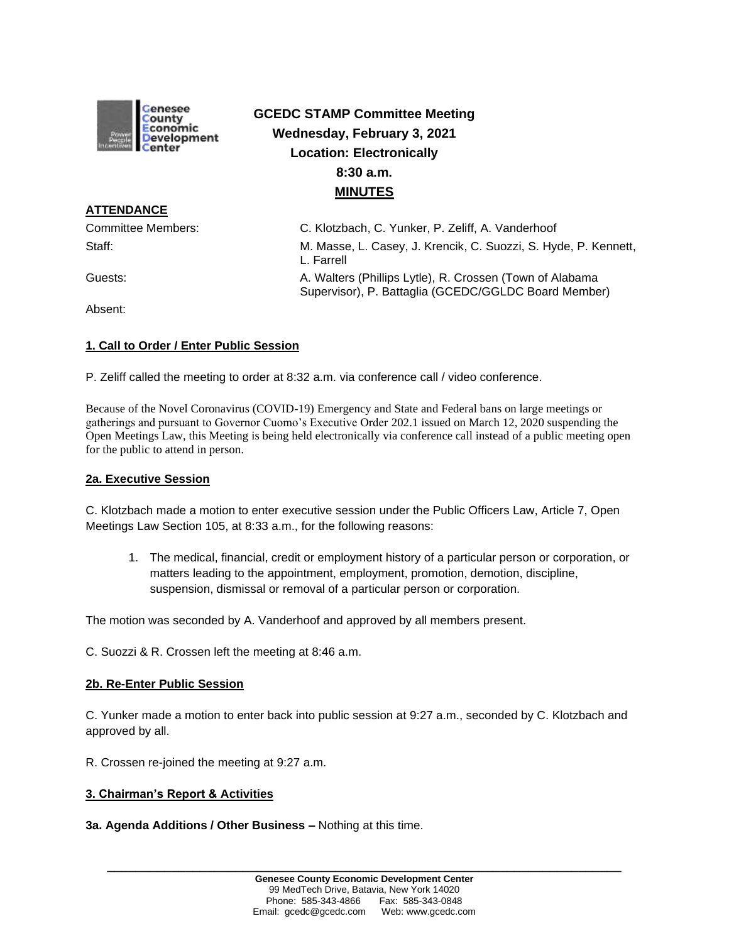

# **GCEDC STAMP Committee Meeting Wednesday, February 3, 2021 Location: Electronically 8:30 a.m. MINUTES**

Committee Members: C. Klotzbach, C. Yunker, P. Zeliff, A. Vanderhoof Staff: M. Masse, L. Casey, J. Krencik, C. Suozzi, S. Hyde, P. Kennett, L. Farrell Guests: **A. Walters (Phillips Lytle), R. Crossen (Town of Alabama** Crossen) Supervisor), P. Battaglia (GCEDC/GGLDC Board Member)

Absent:

**ATTENDANCE**

## **1. Call to Order / Enter Public Session**

P. Zeliff called the meeting to order at 8:32 a.m. via conference call / video conference.

Because of the Novel Coronavirus (COVID-19) Emergency and State and Federal bans on large meetings or gatherings and pursuant to Governor Cuomo's Executive Order 202.1 issued on March 12, 2020 suspending the Open Meetings Law, this Meeting is being held electronically via conference call instead of a public meeting open for the public to attend in person.

## **2a. Executive Session**

C. Klotzbach made a motion to enter executive session under the Public Officers Law, Article 7, Open Meetings Law Section 105, at 8:33 a.m., for the following reasons:

1. The medical, financial, credit or employment history of a particular person or corporation, or matters leading to the appointment, employment, promotion, demotion, discipline, suspension, dismissal or removal of a particular person or corporation.

The motion was seconded by A. Vanderhoof and approved by all members present.

C. Suozzi & R. Crossen left the meeting at 8:46 a.m.

## **2b. Re-Enter Public Session**

C. Yunker made a motion to enter back into public session at 9:27 a.m., seconded by C. Klotzbach and approved by all.

R. Crossen re-joined the meeting at 9:27 a.m.

## **3. Chairman's Report & Activities**

## **3a. Agenda Additions / Other Business –** Nothing at this time.

**\_\_\_\_\_\_\_\_\_\_\_\_\_\_\_\_\_\_\_\_\_\_\_\_\_\_\_\_\_\_\_\_\_\_\_\_\_\_\_\_\_\_\_\_\_\_\_\_\_\_\_\_\_\_\_\_\_\_\_\_\_\_\_\_\_\_\_\_\_\_\_\_**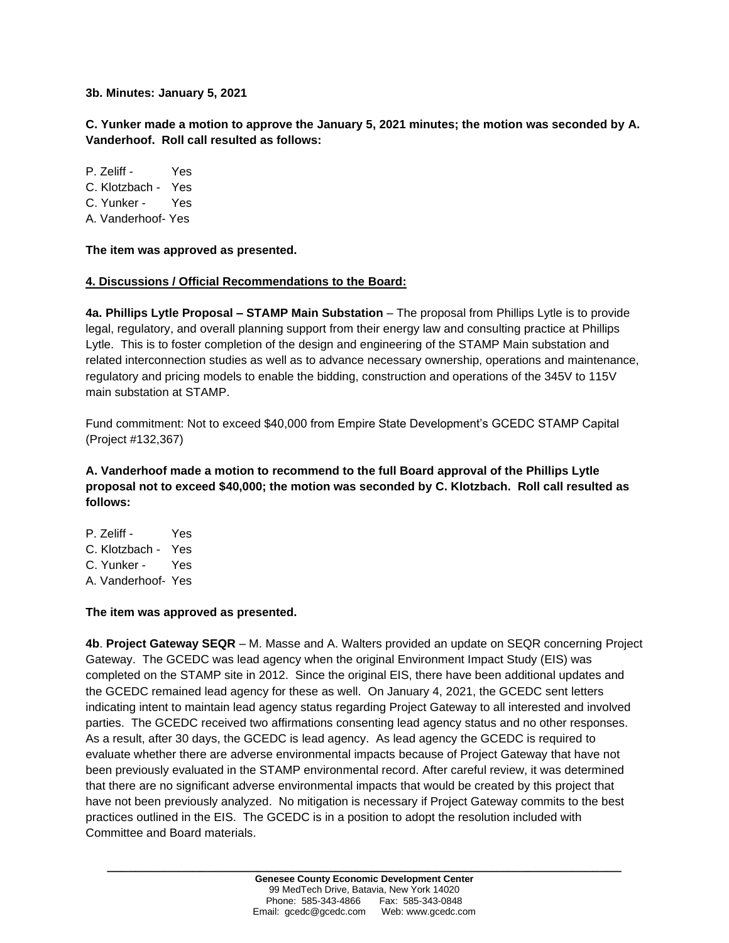**3b. Minutes: January 5, 2021**

**C. Yunker made a motion to approve the January 5, 2021 minutes; the motion was seconded by A. Vanderhoof. Roll call resulted as follows:**

P. Zeliff - Yes C. Klotzbach - Yes C. Yunker - Yes A. Vanderhoof- Yes

**The item was approved as presented.**

## **4. Discussions / Official Recommendations to the Board:**

**4a. Phillips Lytle Proposal – STAMP Main Substation** – The proposal from Phillips Lytle is to provide legal, regulatory, and overall planning support from their energy law and consulting practice at Phillips Lytle. This is to foster completion of the design and engineering of the STAMP Main substation and related interconnection studies as well as to advance necessary ownership, operations and maintenance, regulatory and pricing models to enable the bidding, construction and operations of the 345V to 115V main substation at STAMP.

Fund commitment: Not to exceed \$40,000 from Empire State Development's GCEDC STAMP Capital (Project #132,367)

**A. Vanderhoof made a motion to recommend to the full Board approval of the Phillips Lytle proposal not to exceed \$40,000; the motion was seconded by C. Klotzbach. Roll call resulted as follows:**

P. Zeliff - Yes C. Klotzbach - Yes C. Yunker - Yes A. Vanderhoof- Yes

## **The item was approved as presented.**

**4b**. **Project Gateway SEQR** – M. Masse and A. Walters provided an update on SEQR concerning Project Gateway. The GCEDC was lead agency when the original Environment Impact Study (EIS) was completed on the STAMP site in 2012. Since the original EIS, there have been additional updates and the GCEDC remained lead agency for these as well. On January 4, 2021, the GCEDC sent letters indicating intent to maintain lead agency status regarding Project Gateway to all interested and involved parties. The GCEDC received two affirmations consenting lead agency status and no other responses. As a result, after 30 days, the GCEDC is lead agency. As lead agency the GCEDC is required to evaluate whether there are adverse environmental impacts because of Project Gateway that have not been previously evaluated in the STAMP environmental record. After careful review, it was determined that there are no significant adverse environmental impacts that would be created by this project that have not been previously analyzed. No mitigation is necessary if Project Gateway commits to the best practices outlined in the EIS. The GCEDC is in a position to adopt the resolution included with Committee and Board materials.

**\_\_\_\_\_\_\_\_\_\_\_\_\_\_\_\_\_\_\_\_\_\_\_\_\_\_\_\_\_\_\_\_\_\_\_\_\_\_\_\_\_\_\_\_\_\_\_\_\_\_\_\_\_\_\_\_\_\_\_\_\_\_\_\_\_\_\_\_\_\_\_\_**